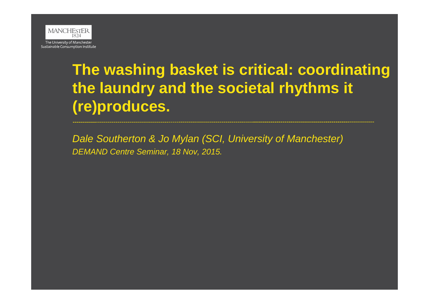

## **The washing basket is critical: coordinating the laundry and the societal rhythms it (re)produces.**

*Dale Southerton & Jo Mylan (SCI, University of Manchester) DEMAND Centre Seminar, 18 Nov, 2015.*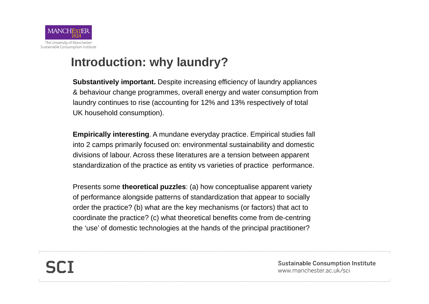

## **Introduction: why laundry?**

**Substantively important.** Despite increasing efficiency of laundry appliances & behaviour change programmes, overall energy and water consumption from laundry continues to rise (accounting for 12% and 13% respectively of total UK household consumption).

**Empirically interesting**. A mundane everyday practice. Empirical studies fall into 2 camps primarily focused on: environmental sustainability and domestic divisions of labour. Across these literatures are a tension between apparent standardization of the practice as entity vs varieties of practice performance.

Presents some **theoretical puzzles**: (a) how conceptualise apparent variety of performance alongside patterns of standardization that appear to socially order the practice? (b) what are the key mechanisms (or factors) that act to coordinate the practice? (c) what theoretical benefits come from de-centring the 'use' of domestic technologies at the hands of the principal practitioner?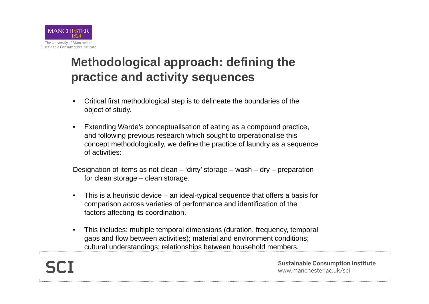

## **Methodological approach: defining the practice and activity sequences**

- • Critical first methodological step is to delineate the boundaries of the object of study.
- • Extending Warde's conceptualisation of eating as a compound practice, and following previous research which sought to orperationalise this concept methodologically, we define the practice of laundry as a sequence of activities:

Designation of items as not clean – 'dirty' storage – wash – dry – preparation for clean storage – clean storage.

- • This is a heuristic device – an ideal-typical sequence that offers a basis for comparison across varieties of performance and identification of the factors affecting its coordination.
- • This includes: multiple temporal dimensions (duration, frequency, temporal gaps and flow between activities); material and environment conditions; cultural understandings; relationships between household members.

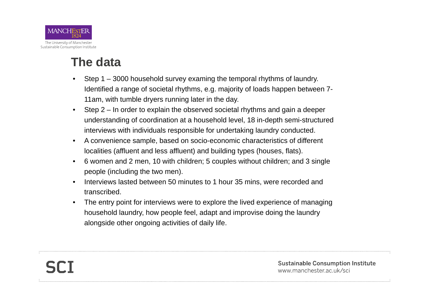

## **The data**

- • Step 1 – 3000 household survey examing the temporal rhythms of laundry. Identified a range of societal rhythms, e.g. majority of loads happen between 7- 11am, with tumble dryers running later in the day.
- • Step 2 – In order to explain the observed societal rhythms and gain a deeper understanding of coordination at a household level, 18 in-depth semi-structured interviews with individuals responsible for undertaking laundry conducted.
- • A convenience sample, based on socio-economic characteristics of different localities (affluent and less affluent) and building types (houses, flats).
- $\bullet$  6 women and 2 men, 10 with children; 5 couples without children; and 3 single people (including the two men).
- • Interviews lasted between 50 minutes to 1 hour 35 mins, were recorded and transcribed.
- • The entry point for interviews were to explore the lived experience of managing household laundry, how people feel, adapt and improvise doing the laundry alongside other ongoing activities of daily life.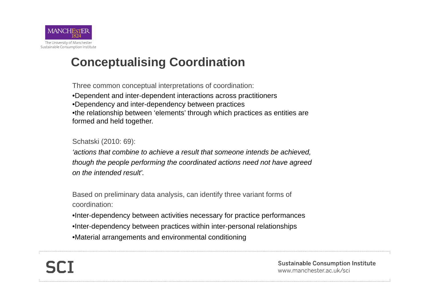

## **Conceptualising Coordination**

Three common conceptual interpretations of coordination: •Dependent and inter-dependent interactions across practitioners •Dependency and inter-dependency between practices •the relationship between 'elements' through which practices as entities are formed and held together.

Schatski (2010: 69):

*'actions that combine to achieve a result that someone intends be achieved, though the people performing the coordinated actions need not have agreed on the intended result'.* 

Based on preliminary data analysis, can identify three variant forms of coordination:

- •Inter-dependency between activities necessary for practice performances
- •Inter-dependency between practices within inter-personal relationships
- •Material arrangements and environmental conditioning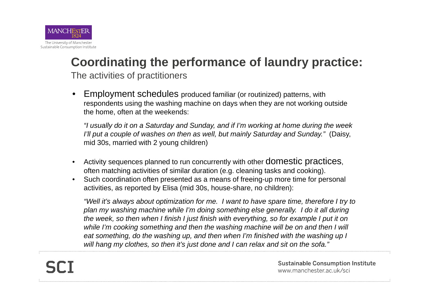

## **Coordinating the performance of laundry practice:**

The activities of practitioners

• Employment schedules produced familiar (or routinized) patterns, with respondents using the washing machine on days when they are not working outside the home, often at the weekends:

*"I usually do it on a Saturday and Sunday, and if I'm working at home during the week I'll put a couple of washes on then as well, but mainly Saturday and Sunday."* (Daisy, mid 30s, married with 2 young children)

- •Activity sequences planned to run concurrently with other **domestic practices**, often matching activities of similar duration (e.g. cleaning tasks and cooking).
- • Such coordination often presented as a means of freeing-up more time for personal activities, as reported by Elisa (mid 30s, house-share, no children):

*"Well it's always about optimization for me. I want to have spare time, therefore I try to plan my washing machine while I'm doing something else generally. I do it all during the week, so then when I finish I just finish with everything, so for example I put it on*  while I'm cooking something and then the washing machine will be on and then I will *eat something, do the washing up, and then when I'm finished with the washing up I will hang my clothes, so then it's just done and I can relax and sit on the sofa."*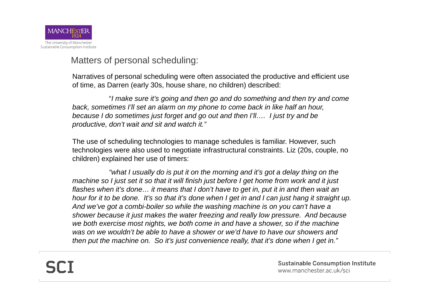

Matters of personal scheduling:

Narratives of personal scheduling were often associated the productive and efficient use of time, as Darren (early 30s, house share, no children) described:

"*I make sure it's going and then go and do something and then try and come back, sometimes I'll set an alarm on my phone to come back in like half an hour, because I do sometimes just forget and go out and then I'll…. I just try and be productive, don't wait and sit and watch it."*

The use of scheduling technologies to manage schedules is familiar. However, such technologies were also used to negotiate infrastructural constraints. Liz (20s, couple, no children) explained her use of timers:

*"what I usually do is put it on the morning and it's got a delay thing on the machine so I just set it so that it will finish just before I get home from work and it just flashes when it's done… it means that I don't have to get in, put it in and then wait an hour for it to be done. It's so that it's done when I get in and I can just hang it straight up. And we've got a combi-boiler so while the washing machine is on you can't have a shower because it just makes the water freezing and really low pressure. And because we both exercise most nights, we both come in and have a shower, so if the machine*  was on we wouldn't be able to have a shower or we'd have to have our showers and *then put the machine on. So it's just convenience really, that it's done when I get in."*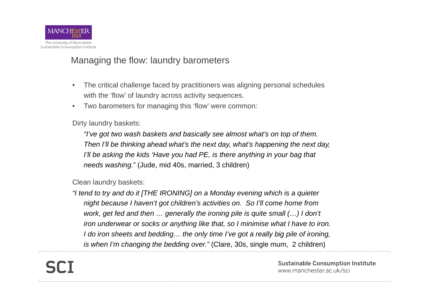

#### Managing the flow: laundry barometers

- • The critical challenge faced by practitioners was aligning personal schedules with the 'flow' of laundry across activity sequences.
- •Two barometers for managing this 'flow' were common:

Dirty laundry baskets:

*"I've got two wash baskets and basically see almost what's on top of them. Then I'll be thinking ahead what's the next day, what's happening the next day, I'll be asking the kids 'Have you had PE, is there anything in your bag that needs washing.*" (Jude, mid 40s, married, 3 children)

Clean laundry baskets:

*"I tend to try and do it [THE IRONING] on a Monday evening which is a quieter night because I haven't got children's activities on. So I'll come home from work, get fed and then ... generally the ironing pile is quite small (...) I don't iron underwear or socks or anything like that, so I minimise what I have to iron. I do iron sheets and bedding… the only time I've got a really big pile of ironing, is when I'm changing the bedding over."* (Clare, 30s, single mum, 2 children)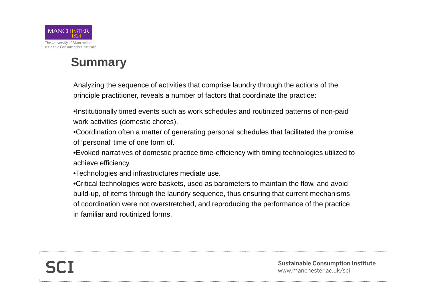

## **Summary**

Analyzing the sequence of activities that comprise laundry through the actions of the principle practitioner, reveals a number of factors that coordinate the practice:

•Institutionally timed events such as work schedules and routinized patterns of non-paid work activities (domestic chores).

•Coordination often a matter of generating personal schedules that facilitated the promise of 'personal' time of one form of.

•Evoked narratives of domestic practice time-efficiency with timing technologies utilized to achieve efficiency.

•Technologies and infrastructures mediate use.

•Critical technologies were baskets, used as barometers to maintain the flow, and avoid build-up, of items through the laundry sequence, thus ensuring that current mechanisms of coordination were not overstretched, and reproducing the performance of the practice in familiar and routinized forms.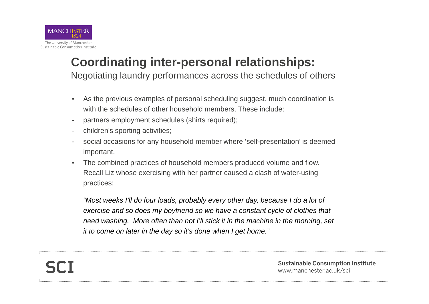

# **Coordinating inter-personal relationships:**

Negotiating laundry performances across the schedules of others

- • As the previous examples of personal scheduling suggest, much coordination is with the schedules of other household members. These include:
- partners employment schedules (shirts required);
- children's sporting activities;
- social occasions for any household member where 'self-presentation' is deemed important.
- • The combined practices of household members produced volume and flow. Recall Liz whose exercising with her partner caused a clash of water-using practices:

*"Most weeks I'll do four loads, probably every other day, because I do a lot of exercise and so does my boyfriend so we have a constant cycle of clothes that need washing. More often than not I'll stick it in the machine in the morning, set it to come on later in the day so it's done when I get home."*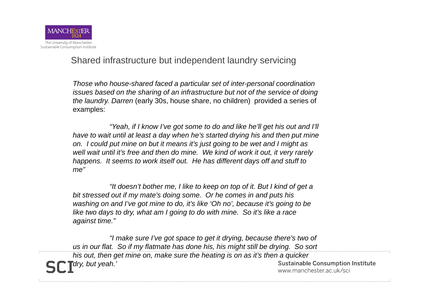

Shared infrastructure but independent laundry servicing

*Those who house-shared faced a particular set of inter-personal coordination issues based on the sharing of an infrastructure but not of the service of doing the laundry. Darren* (early 30s, house share, no children) provided a series of examples:

*"Yeah, if I know I've got some to do and like he'll get his out and I'll have to wait until at least a day when he's started drying his and then put mine on. I could put mine on but it means it's just going to be wet and I might as well wait until it's free and then do mine. We kind of work it out, it very rarely happens. It seems to work itself out. He has different days off and stuff to me"*

*"It doesn't bother me, I like to keep on top of it. But I kind of get a bit stressed out if my mate's doing some. Or he comes in and puts his washing on and I've got mine to do, it's like 'Oh no', because it's going to be like two days to dry, what am I going to do with mine. So it's like a race against time."* 

*"I make sure I've got space to get it drying, because there's two of us in our flat. So if my flatmate has done his, his might still be drying. So sort his out, then get mine on, make sure the heating is on as it's then a quicker*  **Sustainable Consumption Institute** *dry, but yeah.'*www.manchester.ac.uk/sci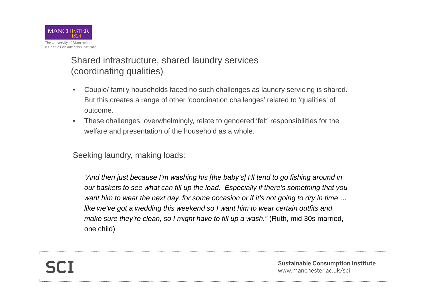

#### Shared infrastructure, shared laundry services (coordinating qualities)

- $\bullet$  Couple/ family households faced no such challenges as laundry servicing is shared. But this creates a range of other 'coordination challenges' related to 'qualities' of outcome.
- • These challenges, overwhelmingly, relate to gendered 'felt' responsibilities for the welfare and presentation of the household as a whole.

Seeking laundry, making loads:

*"And then just because I'm washing his [the baby's] I'll tend to go fishing around in our baskets to see what can fill up the load. Especially if there's something that you want him to wear the next day, for some occasion or if it's not going to dry in time …*  like we've got a wedding this weekend so I want him to wear certain outfits and *make sure they're clean, so I might have to fill up a wash."* (Ruth, mid 30s married, one child)

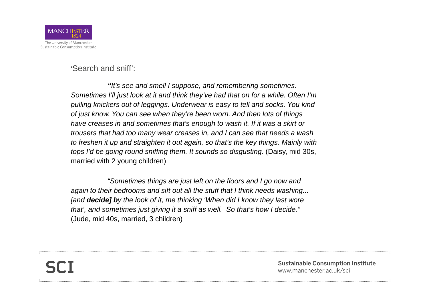

'Search and sniff':

*"It's see and smell I suppose, and remembering sometimes. Sometimes I'll just look at it and think they've had that on for a while. Often I'm pulling knickers out of leggings. Underwear is easy to tell and socks. You kind of just know. You can see when they're been worn. And then lots of things have creases in and sometimes that's enough to wash it. If it was a skirt or trousers that had too many wear creases in, and I can see that needs a wash to freshen it up and straighten it out again, so that's the key things. Mainly with tops I'd be going round sniffing them. It sounds so disgusting.* (Daisy, mid 30s, married with 2 young children)

*"Sometimes things are just left on the floors and I go now and again to their bedrooms and sift out all the stuff that I think needs washing... [and decide] by the look of it, me thinking 'When did I know they last wore that', and sometimes just giving it a sniff as well. So that's how I decide."*  (Jude, mid 40s, married, 3 children)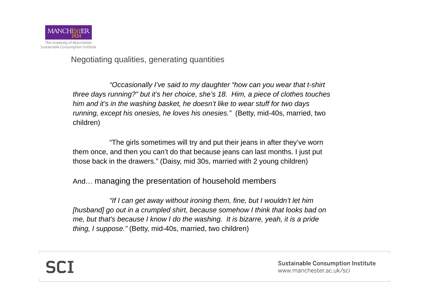

Negotiating qualities, generating quantities

*"Occasionally I've said to my daughter "how can you wear that t-shirt three days running?" but it's her choice, she's 18. Him, a piece of clothes touches him and it's in the washing basket, he doesn't like to wear stuff for two days running, except his onesies, he loves his onesies."* (Betty, mid-40s, married, two children)

"The girls sometimes will try and put their jeans in after they've worn them once, and then you can't do that because jeans can last months. I just put those back in the drawers." (Daisy, mid 30s, married with 2 young children)

And… managing the presentation of household members

*"If I can get away without ironing them, fine, but I wouldn't let him [husband] go out in a crumpled shirt, because somehow I think that looks bad on me, but that's because I know I do the washing. It is bizarre, yeah, it is a pride thing, I suppose."* (Betty, mid-40s, married, two children)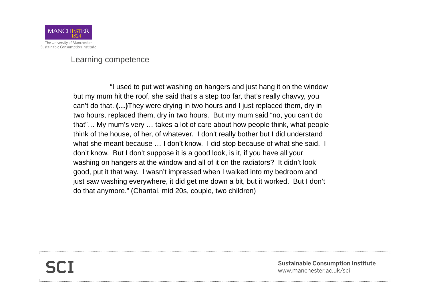

Learning competence

"I used to put wet washing on hangers and just hang it on the window but my mum hit the roof, she said that's a step too far, that's really chavvy, you can't do that. **(…)**They were drying in two hours and I just replaced them, dry in two hours, replaced them, dry in two hours. But my mum said "no, you can't do that"… My mum's very … takes a lot of care about how people think, what people think of the house, of her, of whatever. I don't really bother but I did understand what she meant because ... I don't know. I did stop because of what she said. I don't know. But I don't suppose it is a good look, is it, if you have all your washing on hangers at the window and all of it on the radiators? It didn't look good, put it that way. I wasn't impressed when I walked into my bedroom and just saw washing everywhere, it did get me down a bit, but it worked. But I don't do that anymore." (Chantal, mid 20s, couple, two children)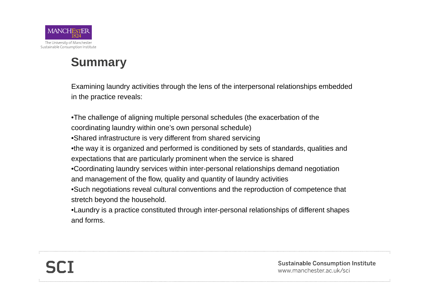

## **Summary**

Examining laundry activities through the lens of the interpersonal relationships embedded in the practice reveals:

•The challenge of aligning multiple personal schedules (the exacerbation of the coordinating laundry within one's own personal schedule) •Shared infrastructure is very different from shared servicing •the way it is organized and performed is conditioned by sets of standards, qualities and expectations that are particularly prominent when the service is shared •Coordinating laundry services within inter-personal relationships demand negotiation and management of the flow, quality and quantity of laundry activities •Such negotiations reveal cultural conventions and the reproduction of competence that stretch beyond the household. •Laundry is a practice constituted through inter-personal relationships of different shapes and forms.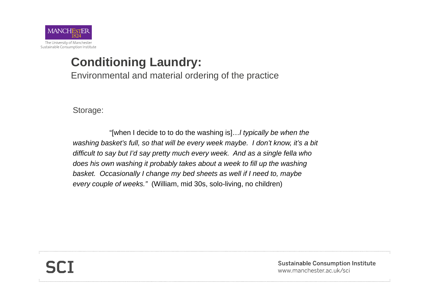

## **Conditioning Laundry:**

Environmental and material ordering of the practice

Storage:

"[when I decide to to do the washing is]…*l typically be when the washing basket's full, so that will be every week maybe. I don't know, it's a bit difficult to say but I'd say pretty much every week. And as a single fella who*  does his own washing it probably takes about a week to fill up the washing *basket. Occasionally I change my bed sheets as well if I need to, maybe every couple of weeks."* (William, mid 30s, solo-living, no children)

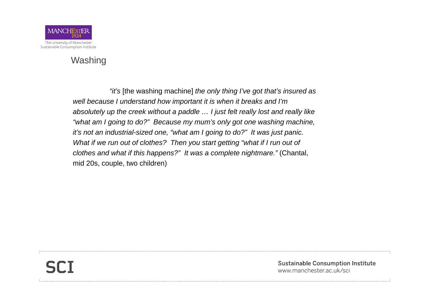

#### Washing

*"it's* [the washing machine] *the only thing I've got that's insured as well because I understand how important it is when it breaks and I'm absolutely up the creek without a paddle … I just felt really lost and really like "what am I going to do?" Because my mum's only got one washing machine, it's not an industrial-sized one, "what am I going to do?" It was just panic. What if we run out of clothes? Then you start getting "what if I run out of clothes and what if this happens?" It was a complete nightmare."* (Chantal, mid 20s, couple, two children)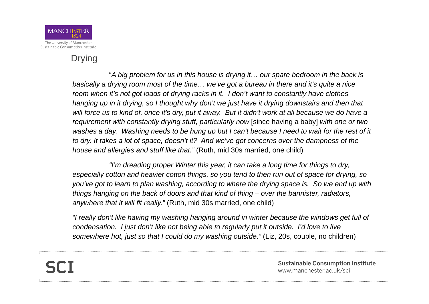

#### Drying

"*A big problem for us in this house is drying it… our spare bedroom in the back is basically a drying room most of the time… we've got a bureau in there and it's quite a nice room when it's not got loads of drying racks in it. I don't want to constantly have clothes hanging up in it drying, so I thought why don't we just have it drying downstairs and then that*  will force us to kind of, once it's dry, put it away. But it didn't work at all because we do have a *requirement with constantly drying stuff, particularly now* [since having a baby] *with one or two washes a day. Washing needs to be hung up but I can't because I need to wait for the rest of it to dry. It takes a lot of space, doesn't it? And we've got concerns over the dampness of the house and allergies and stuff like that."* (Ruth, mid 30s married, one child)

*"I'm dreading proper Winter this year, it can take a long time for things to dry, especially cotton and heavier cotton things, so you tend to then run out of space for drying, so you've got to learn to plan washing, according to where the drying space is. So we end up with things hanging on the back of doors and that kind of thing – over the bannister, radiators, anywhere that it will fit really."* (Ruth, mid 30s married, one child)

*"I really don't like having my washing hanging around in winter because the windows get full of condensation. I just don't like not being able to regularly put it outside. I'd love to live somewhere hot, just so that I could do my washing outside."* (Liz, 20s, couple, no children)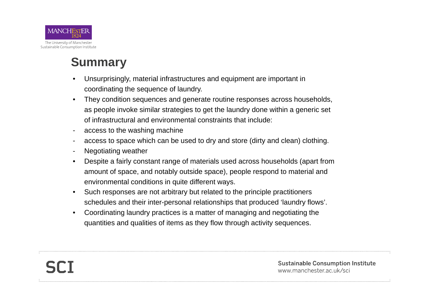

## **Summary**

- • Unsurprisingly, material infrastructures and equipment are important in coordinating the sequence of laundry.
- • They condition sequences and generate routine responses across households, as people invoke similar strategies to get the laundry done within a generic set of infrastructural and environmental constraints that include:
- access to the washing machine
- access to space which can be used to dry and store (dirty and clean) clothing.
- Negotiating weather
- • Despite a fairly constant range of materials used across households (apart from amount of space, and notably outside space), people respond to material and environmental conditions in quite different ways.
- • Such responses are not arbitrary but related to the principle practitioners schedules and their inter-personal relationships that produced 'laundry flows'.
- • Coordinating laundry practices is a matter of managing and negotiating the quantities and qualities of items as they flow through activity sequences.

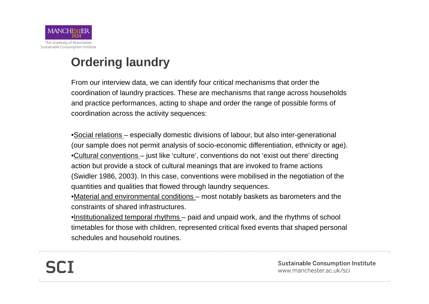

## **Ordering laundry**

From our interview data, we can identify four critical mechanisms that order the coordination of laundry practices. These are mechanisms that range across households and practice performances, acting to shape and order the range of possible forms of coordination across the activity sequences:

•Social relations – especially domestic divisions of labour, but also inter-generational (our sample does not permit analysis of socio-economic differentiation, ethnicity or age). •Cultural conventions – just like 'culture', conventions do not 'exist out there' directing action but provide a stock of cultural meanings that are invoked to frame actions (Swidler 1986, 2003). In this case, conventions were mobilised in the negotiation of the quantities and qualities that flowed through laundry sequences.

•Material and environmental conditions – most notably baskets as barometers and the constraints of shared infrastructures.

•Institutionalized temporal rhythms – paid and unpaid work, and the rhythms of school timetables for those with children, represented critical fixed events that shaped personal schedules and household routines.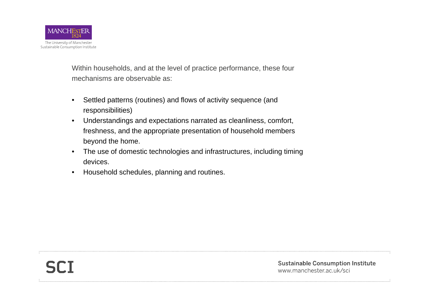

Within households, and at the level of practice performance, these four mechanisms are observable as:

- • Settled patterns (routines) and flows of activity sequence (and responsibilities)
- • Understandings and expectations narrated as cleanliness, comfort, freshness, and the appropriate presentation of household members beyond the home.
- • The use of domestic technologies and infrastructures, including timing devices.
- •Household schedules, planning and routines.